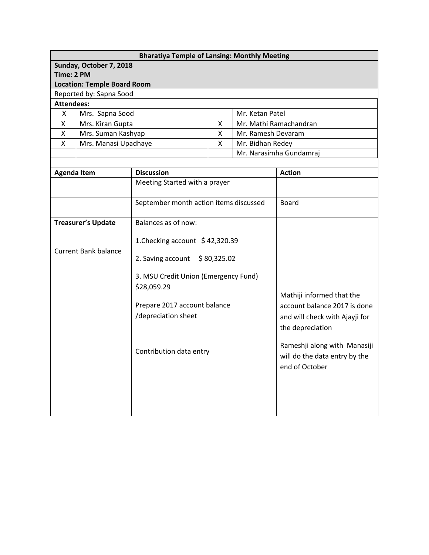| <b>Bharatiya Temple of Lansing: Monthly Meeting</b> |                                    |   |                         |  |  |  |
|-----------------------------------------------------|------------------------------------|---|-------------------------|--|--|--|
|                                                     | Sunday, October 7, 2018            |   |                         |  |  |  |
| Time: 2 PM                                          |                                    |   |                         |  |  |  |
|                                                     | <b>Location: Temple Board Room</b> |   |                         |  |  |  |
|                                                     | Reported by: Sapna Sood            |   |                         |  |  |  |
| <b>Attendees:</b>                                   |                                    |   |                         |  |  |  |
| x                                                   | Mrs. Sapna Sood                    |   | Mr. Ketan Patel         |  |  |  |
| X                                                   | Mrs. Kiran Gupta                   | X | Mr. Mathi Ramachandran  |  |  |  |
| X                                                   | Mrs. Suman Kashyap                 | X | Mr. Ramesh Devaram      |  |  |  |
| X                                                   | Mrs. Manasi Upadhaye               | x | Mr. Bidhan Redey        |  |  |  |
|                                                     |                                    |   | Mr. Narasimha Gundamraj |  |  |  |
|                                                     |                                    |   |                         |  |  |  |

| <b>Agenda Item</b>          | <b>Discussion</b>                                                                 | <b>Action</b>                                                                                                   |
|-----------------------------|-----------------------------------------------------------------------------------|-----------------------------------------------------------------------------------------------------------------|
|                             | Meeting Started with a prayer                                                     |                                                                                                                 |
|                             | September month action items discussed                                            | <b>Board</b>                                                                                                    |
| <b>Treasurer's Update</b>   | Balances as of now:<br>1. Checking account \$42,320.39                            |                                                                                                                 |
| <b>Current Bank balance</b> | 2. Saving account $\frac{1}{2}$ 80,325.02<br>3. MSU Credit Union (Emergency Fund) |                                                                                                                 |
|                             | \$28,059.29<br>Prepare 2017 account balance<br>/depreciation sheet                | Mathiji informed that the<br>account balance 2017 is done<br>and will check with Ajayji for<br>the depreciation |
|                             | Contribution data entry                                                           | Rameshji along with Manasiji<br>will do the data entry by the<br>end of October                                 |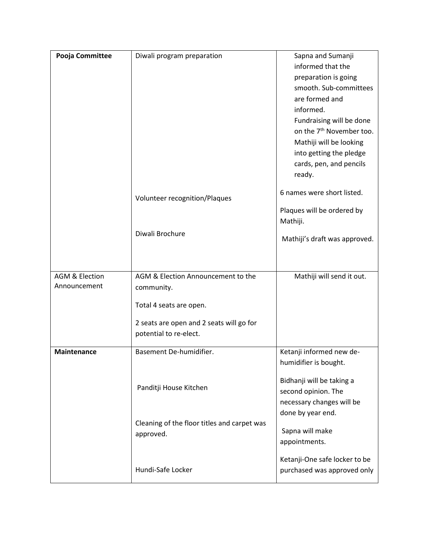| Pooja Committee           | Diwali program preparation                  | Sapna and Sumanji                    |
|---------------------------|---------------------------------------------|--------------------------------------|
|                           |                                             | informed that the                    |
|                           |                                             | preparation is going                 |
|                           |                                             | smooth. Sub-committees               |
|                           |                                             | are formed and                       |
|                           |                                             | informed.                            |
|                           |                                             | Fundraising will be done             |
|                           |                                             | on the 7 <sup>th</sup> November too. |
|                           |                                             | Mathiji will be looking              |
|                           |                                             | into getting the pledge              |
|                           |                                             | cards, pen, and pencils              |
|                           |                                             | ready.                               |
|                           | Volunteer recognition/Plaques               | 6 names were short listed.           |
|                           |                                             | Plaques will be ordered by           |
|                           |                                             | Mathiji.                             |
|                           | Diwali Brochure                             | Mathiji's draft was approved.        |
|                           |                                             |                                      |
|                           |                                             |                                      |
| <b>AGM &amp; Election</b> | AGM & Election Announcement to the          | Mathiji will send it out.            |
| Announcement              | community.                                  |                                      |
|                           | Total 4 seats are open.                     |                                      |
|                           |                                             |                                      |
|                           | 2 seats are open and 2 seats will go for    |                                      |
|                           | potential to re-elect.                      |                                      |
| Maintenance               | Basement De-humidifier.                     | Ketanji informed new de-             |
|                           |                                             | humidifier is bought.                |
|                           |                                             |                                      |
|                           | Panditji House Kitchen                      | Bidhanji will be taking a            |
|                           |                                             | second opinion. The                  |
|                           |                                             | necessary changes will be            |
|                           |                                             | done by year end.                    |
|                           | Cleaning of the floor titles and carpet was | Sapna will make                      |
|                           | approved.                                   | appointments.                        |
|                           |                                             |                                      |
|                           |                                             | Ketanji-One safe locker to be        |
|                           | Hundi-Safe Locker                           | purchased was approved only          |